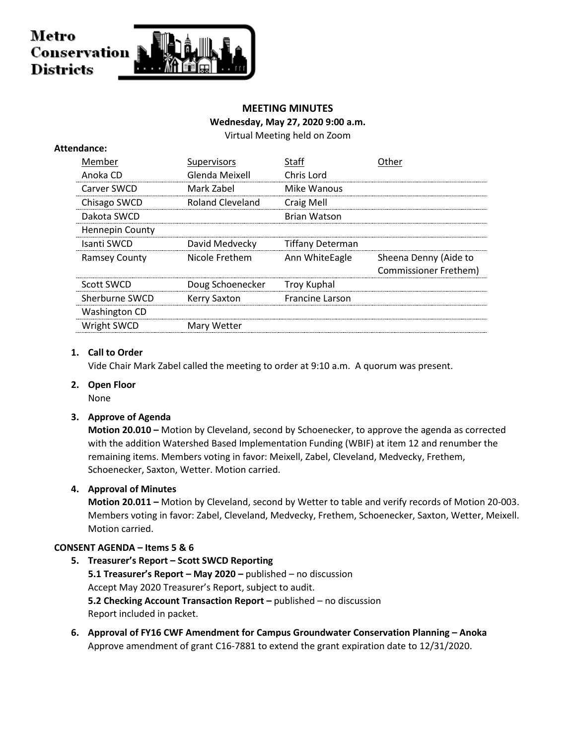### Metro Conservation **Districts**

#### **MEETING MINUTES**

#### **Wednesday, May 27, 2020 9:00 a.m.**

Virtual Meeting held on Zoom

| Member                 | Supervisors         | Staff                  | ther                         |
|------------------------|---------------------|------------------------|------------------------------|
| Anoka CD               | Glenda Meixell      | Chris Lord             |                              |
| Carver SWCD            | Mark Zabel          | Mike Wanous            |                              |
| Chisago SWCD           | Roland Cleveland    | Craig Mell             |                              |
| Dakota SWCD            |                     | Brian Watson           |                              |
| <b>Hennepin County</b> |                     |                        |                              |
| Isanti SWCD            | David Medvecky      | Tiffany Determan       |                              |
| <b>Ramsey County</b>   | Nicole Frethem      | Ann WhiteEagle         | Sheena Denny (Aide to        |
|                        |                     |                        | <b>Commissioner Frethem)</b> |
| Scott SWCD             | Doug Schoenecker    | Troy Kuphal            |                              |
| Sherburne SWCD         | <b>Kerry Saxton</b> | <b>Francine Larson</b> |                              |
| <b>Washington CD</b>   |                     |                        |                              |
| Wright SWCD            | Mary Wetter         |                        |                              |
|                        |                     |                        |                              |

#### **1. Call to Order**

**Attendance:**

Vide Chair Mark Zabel called the meeting to order at 9:10 a.m. A quorum was present.

#### **2. Open Floor**

None

#### **3. Approve of Agenda**

**Motion 20.010 –** Motion by Cleveland, second by Schoenecker, to approve the agenda as corrected with the addition Watershed Based Implementation Funding (WBIF) at item 12 and renumber the remaining items. Members voting in favor: Meixell, Zabel, Cleveland, Medvecky, Frethem, Schoenecker, Saxton, Wetter. Motion carried.

#### **4. Approval of Minutes**

**Motion 20.011 –** Motion by Cleveland, second by Wetter to table and verify records of Motion 20-003. Members voting in favor: Zabel, Cleveland, Medvecky, Frethem, Schoenecker, Saxton, Wetter, Meixell. Motion carried.

#### **CONSENT AGENDA – Items 5 & 6**

- **5. Treasurer's Report – Scott SWCD Reporting 5.1 Treasurer's Report – May 2020 –** published – no discussion Accept May 2020 Treasurer's Report, subject to audit. **5.2 Checking Account Transaction Report –** published – no discussion Report included in packet.
- **6. Approval of FY16 CWF Amendment for Campus Groundwater Conservation Planning – Anoka** Approve amendment of grant C16-7881 to extend the grant expiration date to 12/31/2020.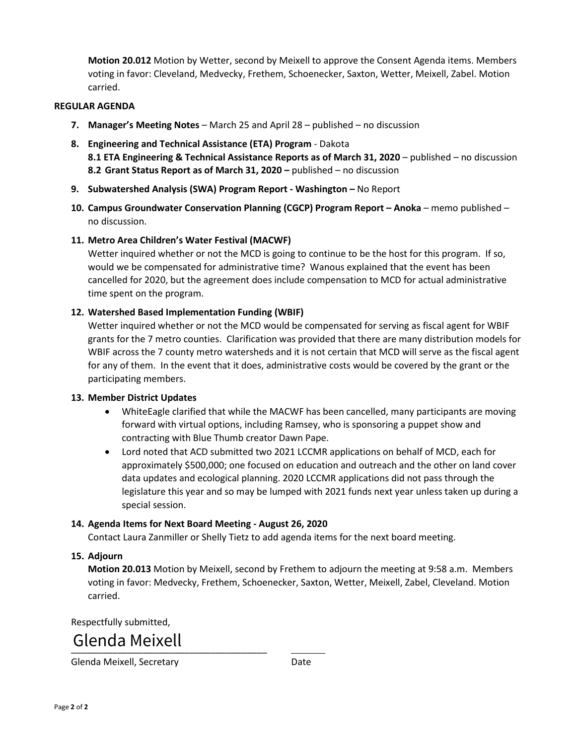**Motion 20.012** Motion by Wetter, second by Meixell to approve the Consent Agenda items. Members voting in favor: Cleveland, Medvecky, Frethem, Schoenecker, Saxton, Wetter, Meixell, Zabel. Motion carried.

#### **REGULAR AGENDA**

- **7. Manager's Meeting Notes** March 25 and April 28 published no discussion
- **8. Engineering and Technical Assistance (ETA) Program** Dakota **8.1 ETA Engineering & Technical Assistance Reports as of March 31, 2020** – published – no discussion **8.2 Grant Status Report as of March 31, 2020 –** published – no discussion
- **9. Subwatershed Analysis (SWA) Program Report - Washington –** No Report
- **10. Campus Groundwater Conservation Planning (CGCP) Program Report – Anoka** memo published no discussion.

#### **11. Metro Area Children's Water Festival (MACWF)**

Wetter inquired whether or not the MCD is going to continue to be the host for this program. If so, would we be compensated for administrative time? Wanous explained that the event has been cancelled for 2020, but the agreement does include compensation to MCD for actual administrative time spent on the program.

#### **12. Watershed Based Implementation Funding (WBIF)**

Wetter inquired whether or not the MCD would be compensated for serving as fiscal agent for WBIF grants for the 7 metro counties. Clarification was provided that there are many distribution models for WBIF across the 7 county metro watersheds and it is not certain that MCD will serve as the fiscal agent for any of them. In the event that it does, administrative costs would be covered by the grant or the participating members.

#### **13. Member District Updates**

- WhiteEagle clarified that while the MACWF has been cancelled, many participants are moving forward with virtual options, including Ramsey, who is sponsoring a puppet show and contracting with Blue Thumb creator Dawn Pape.
- Lord noted that ACD submitted two 2021 LCCMR applications on behalf of MCD, each for approximately \$500,000; one focused on education and outreach and the other on land cover data updates and ecological planning. 2020 LCCMR applications did not pass through the legislature this year and so may be lumped with 2021 funds next year unless taken up during a special session.

#### **14. Agenda Items for Next Board Meeting - August 26, 2020**

Contact Laura Zanmiller or Shelly Tietz to add agenda items for the next board meeting.

#### **15. Adjourn**

**Motion 20.013** Motion by Meixell, second by Frethem to adjourn the meeting at 9:58 a.m. Members voting in favor: Medvecky, Frethem, Schoenecker, Saxton, Wetter, Meixell, Zabel, Cleveland. Motion carried.

Respectfully submitted,

#### UICHUU MCIACH Glenda Meixell

Glenda Meixell, Secretary **Date**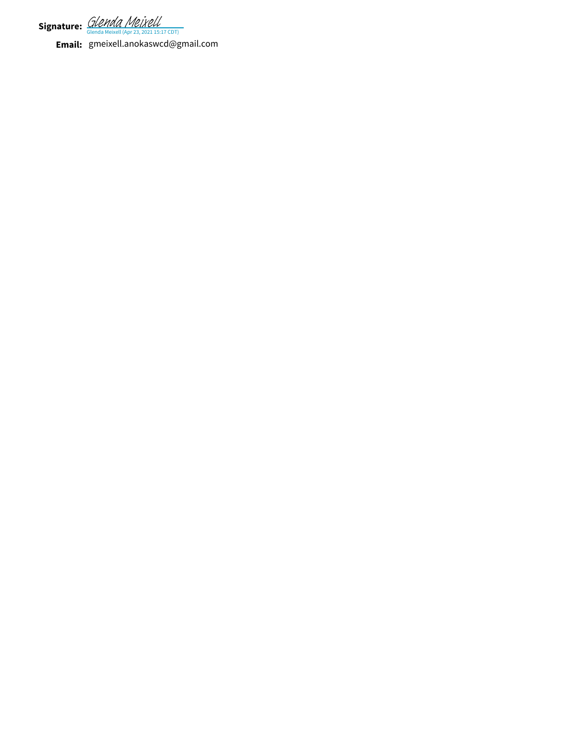**Signature:** *GIPPINA PIBLACI*<br>Glenda Meixell (Apr 23, 2021 15:17 CDT) [Glenda Meixell](https://na2.documents.adobe.com/verifier?tx=CBJCHBCAABAADZm3reVkuyqReTiQn1zr9VXiFdIaOzUq)

**Email:** gmeixell.anokaswcd@gmail.com